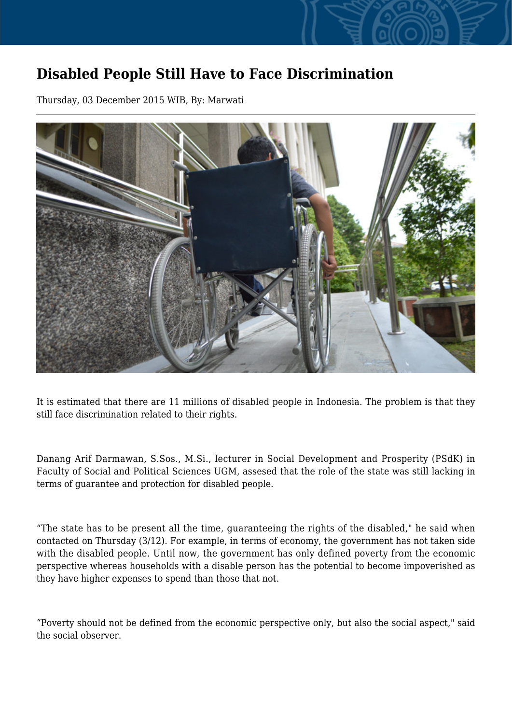## **Disabled People Still Have to Face Discrimination**

Thursday, 03 December 2015 WIB, By: Marwati



It is estimated that there are 11 millions of disabled people in Indonesia. The problem is that they still face discrimination related to their rights.

Danang Arif Darmawan, S.Sos., M.Si., lecturer in Social Development and Prosperity (PSdK) in Faculty of Social and Political Sciences UGM, assesed that the role of the state was still lacking in terms of guarantee and protection for disabled people.

"The state has to be present all the time, guaranteeing the rights of the disabled," he said when contacted on Thursday (3/12). For example, in terms of economy, the government has not taken side with the disabled people. Until now, the government has only defined poverty from the economic perspective whereas households with a disable person has the potential to become impoverished as they have higher expenses to spend than those that not.

"Poverty should not be defined from the economic perspective only, but also the social aspect," said the social observer.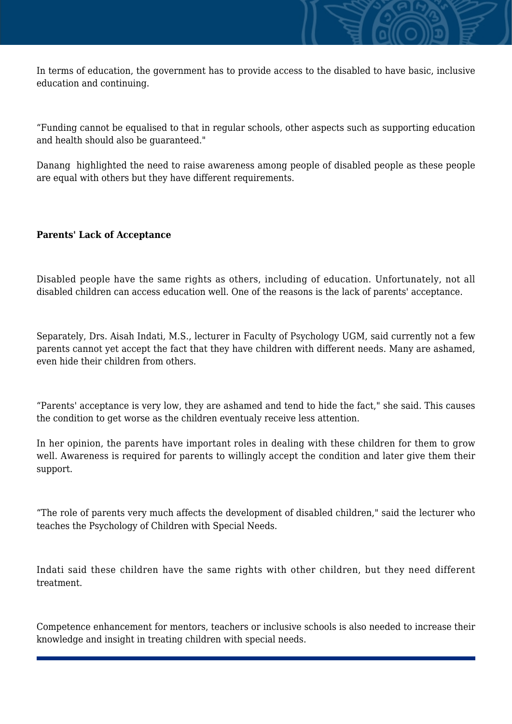In terms of education, the government has to provide access to the disabled to have basic, inclusive education and continuing.

"Funding cannot be equalised to that in regular schools, other aspects such as supporting education and health should also be guaranteed."

Danang highlighted the need to raise awareness among people of disabled people as these people are equal with others but they have different requirements.

## **Parents' Lack of Acceptance**

Disabled people have the same rights as others, including of education. Unfortunately, not all disabled children can access education well. One of the reasons is the lack of parents' acceptance.

Separately, Drs. Aisah Indati, M.S., lecturer in Faculty of Psychology UGM, said currently not a few parents cannot yet accept the fact that they have children with different needs. Many are ashamed, even hide their children from others.

"Parents' acceptance is very low, they are ashamed and tend to hide the fact," she said. This causes the condition to get worse as the children eventualy receive less attention.

In her opinion, the parents have important roles in dealing with these children for them to grow well. Awareness is required for parents to willingly accept the condition and later give them their support.

"The role of parents very much affects the development of disabled children," said the lecturer who teaches the Psychology of Children with Special Needs.

Indati said these children have the same rights with other children, but they need different treatment.

Competence enhancement for mentors, teachers or inclusive schools is also needed to increase their knowledge and insight in treating children with special needs.